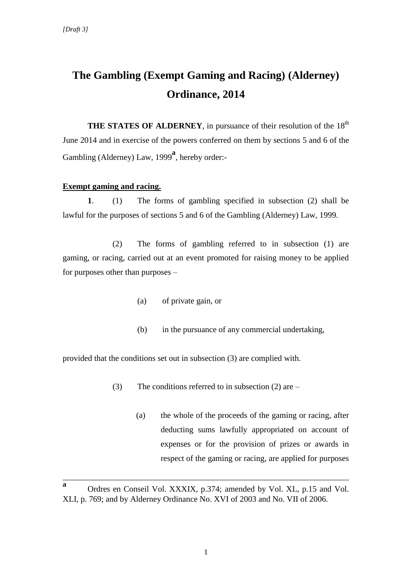## **The Gambling (Exempt Gaming and Racing) (Alderney) Ordinance, 2014**

**THE STATES OF ALDERNEY**, in pursuance of their resolution of the 18<sup>th</sup> June 2014 and in exercise of the powers conferred on them by sections 5 and 6 of the Gambling (Alderney) Law, 1999<sup>a</sup>, hereby order:-

## **Exempt gaming and racing.**

**1**. (1) The forms of gambling specified in subsection (2) shall be lawful for the purposes of sections 5 and 6 of the Gambling (Alderney) Law, 1999.

(2) The forms of gambling referred to in subsection (1) are gaming, or racing, carried out at an event promoted for raising money to be applied for purposes other than purposes –

- (a) of private gain, or
- (b) in the pursuance of any commercial undertaking,

provided that the conditions set out in subsection (3) are complied with.

- (3) The conditions referred to in subsection  $(2)$  are
	- (a) the whole of the proceeds of the gaming or racing, after deducting sums lawfully appropriated on account of expenses or for the provision of prizes or awards in respect of the gaming or racing, are applied for purposes

\_\_\_\_\_\_\_\_\_\_\_\_\_\_\_\_\_\_\_\_\_\_\_\_\_\_\_\_\_\_\_\_\_\_\_\_\_\_\_\_\_\_\_\_\_\_\_\_\_\_\_\_\_\_\_\_\_\_\_\_\_\_\_\_\_\_\_\_\_

**a** Ordres en Conseil Vol. XXXIX, p.374; amended by Vol. XL, p.15 and Vol. XLI, p. 769; and by Alderney Ordinance No. XVI of 2003 and No. VII of 2006.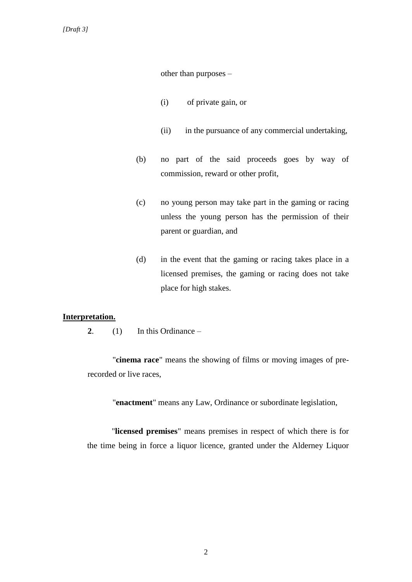other than purposes –

- (i) of private gain, or
- (ii) in the pursuance of any commercial undertaking,
- (b) no part of the said proceeds goes by way of commission, reward or other profit,
- (c) no young person may take part in the gaming or racing unless the young person has the permission of their parent or guardian, and
- (d) in the event that the gaming or racing takes place in a licensed premises, the gaming or racing does not take place for high stakes.

## **Interpretation.**

**2**. (1) In this Ordinance –

"**cinema race**" means the showing of films or moving images of prerecorded or live races,

"**enactment**" means any Law, Ordinance or subordinate legislation,

"**licensed premises**" means premises in respect of which there is for the time being in force a liquor licence, granted under the Alderney Liquor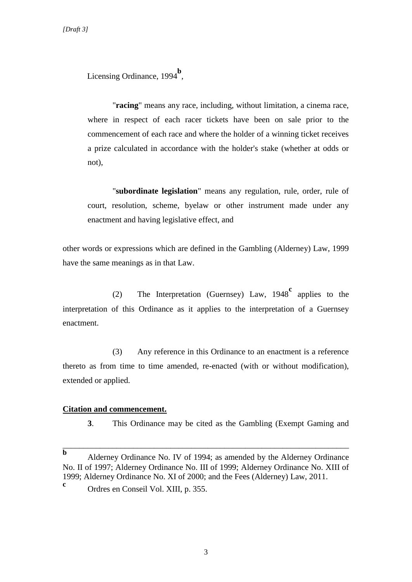Licensing Ordinance, 1994<sup>b</sup>,

"**racing**" means any race, including, without limitation, a cinema race, where in respect of each racer tickets have been on sale prior to the commencement of each race and where the holder of a winning ticket receives a prize calculated in accordance with the holder's stake (whether at odds or not),

"**subordinate legislation**" means any regulation, rule, order, rule of court, resolution, scheme, byelaw or other instrument made under any enactment and having legislative effect, and

other words or expressions which are defined in the Gambling (Alderney) Law, 1999 have the same meanings as in that Law.

(2) The Interpretation (Guernsey) Law, 1948**<sup>c</sup>** applies to the interpretation of this Ordinance as it applies to the interpretation of a Guernsey enactment.

(3) Any reference in this Ordinance to an enactment is a reference thereto as from time to time amended, re-enacted (with or without modification), extended or applied.

## **Citation and commencement.**

**3**. This Ordinance may be cited as the Gambling (Exempt Gaming and

\_\_\_\_\_\_\_\_\_\_\_\_\_\_\_\_\_\_\_\_\_\_\_\_\_\_\_\_\_\_\_\_\_\_\_\_\_\_\_\_\_\_\_\_\_\_\_\_\_\_\_\_\_\_\_\_\_\_\_\_\_\_\_\_\_\_\_\_\_

**b** Alderney Ordinance No. IV of 1994; as amended by the Alderney Ordinance No. II of 1997; Alderney Ordinance No. III of 1999; Alderney Ordinance No. XIII of 1999; Alderney Ordinance No. XI of 2000; and the Fees (Alderney) Law, 2011. **c**

Ordres en Conseil Vol. XIII, p. 355.